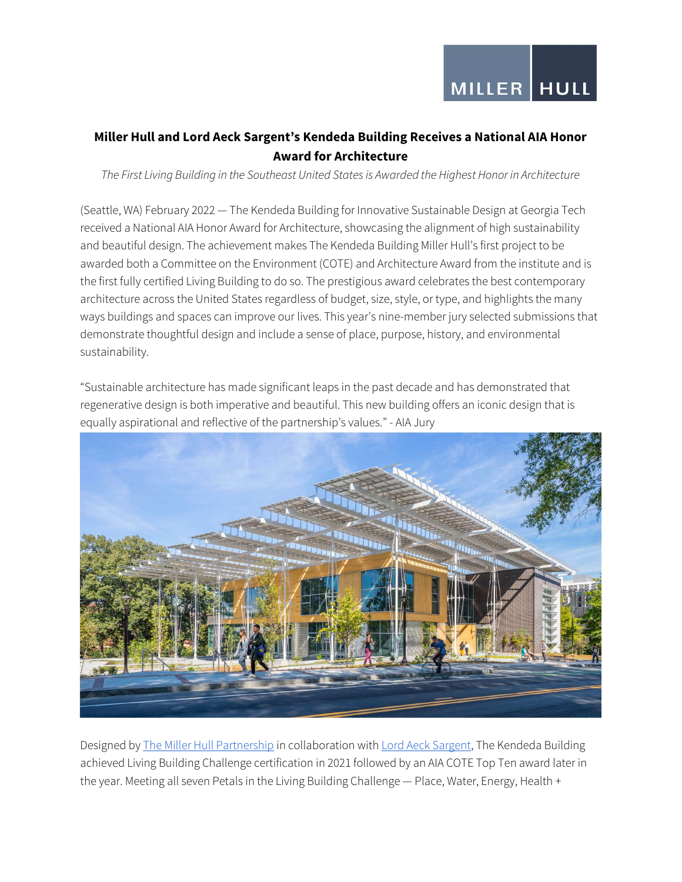## Miller Hull and Lord Aeck Sargent's Kendeda Building Receives a National AIA Honor Award for Architecture

The First Living Building in the Southeast United States is Awarded the Highest Honor in Architecture

(Seattle, WA) February 2022 — The Kendeda Building for Innovative Sustainable Design at Georgia Tech received a National AIA Honor Award for Architecture, showcasing the alignment of high sustainability and beautiful design. The achievement makes The Kendeda Building Miller Hull's first project to be awarded both a Committee on the Environment (COTE) and Architecture Award from the institute and is the first fully certified Living Building to do so. The prestigious award celebrates the best contemporary architecture across the United States regardless of budget, size, style, or type, and highlights the many ways buildings and spaces can improve our lives. This year's nine-member jury selected submissions that demonstrate thoughtful design and include a sense of place, purpose, history, and environmental sustainability.

"Sustainable architecture has made significant leaps in the past decade and has demonstrated that regenerative design is both imperative and beautiful. This new building offers an iconic design that is equally aspirational and reflective of the partnership's values." - AIA Jury



Designed by The Miller Hull Partnership in collaboration with Lord Aeck Sargent, The Kendeda Building achieved Living Building Challenge certification in 2021 followed by an AIA COTE Top Ten award later in the year. Meeting all seven Petals in the Living Building Challenge — Place, Water, Energy, Health +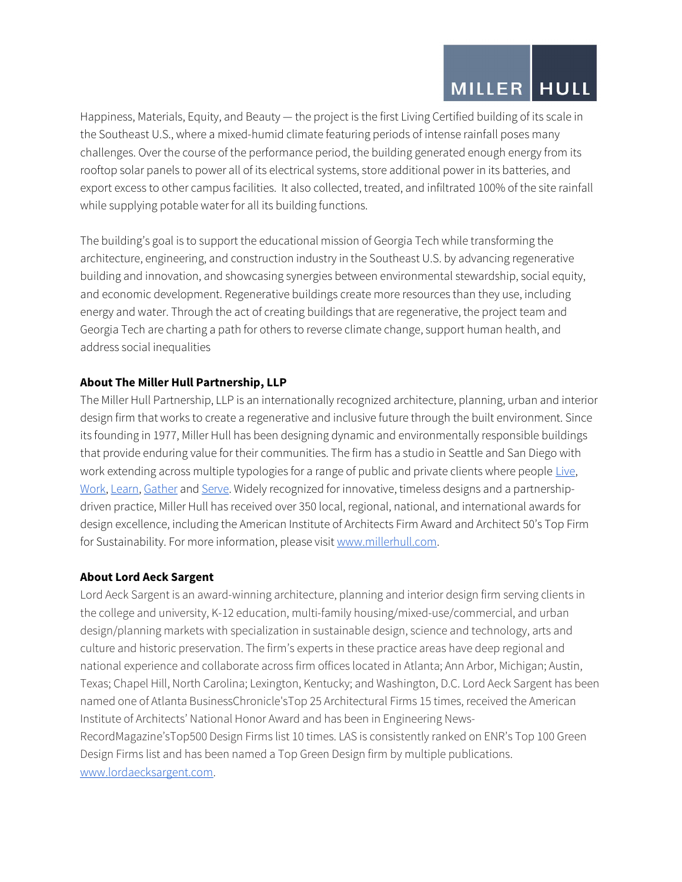# MILLER | HULL

Happiness, Materials, Equity, and Beauty — the project is the first Living Certified building of its scale in the Southeast U.S., where a mixed-humid climate featuring periods of intense rainfall poses many challenges. Over the course of the performance period, the building generated enough energy from its rooftop solar panels to power all of its electrical systems, store additional power in its batteries, and export excess to other campus facilities. It also collected, treated, and infiltrated 100% of the site rainfall while supplying potable water for all its building functions.

The building's goal is to support the educational mission of Georgia Tech while transforming the architecture, engineering, and construction industry in the Southeast U.S. by advancing regenerative building and innovation, and showcasing synergies between environmental stewardship, social equity, and economic development. Regenerative buildings create more resources than they use, including energy and water. Through the act of creating buildings that are regenerative, the project team and Georgia Tech are charting a path for others to reverse climate change, support human health, and address social inequalities

### About The Miller Hull Partnership, LLP

The Miller Hull Partnership, LLP is an internationally recognized architecture, planning, urban and interior design firm that works to create a regenerative and inclusive future through the built environment. Since its founding in 1977, Miller Hull has been designing dynamic and environmentally responsible buildings that provide enduring value for their communities. The firm has a studio in Seattle and San Diego with work extending across multiple typologies for a range of public and private clients where people Live, Work, Learn, Gather and Serve. Widely recognized for innovative, timeless designs and a partnershipdriven practice, Miller Hull has received over 350 local, regional, national, and international awards for design excellence, including the American Institute of Architects Firm Award and Architect 50's Top Firm for Sustainability. For more information, please visit www.millerhull.com.

#### About Lord Aeck Sargent

Lord Aeck Sargent is an award-winning architecture, planning and interior design firm serving clients in the college and university, K-12 education, multi-family housing/mixed-use/commercial, and urban design/planning markets with specialization in sustainable design, science and technology, arts and culture and historic preservation. The firm's experts in these practice areas have deep regional and national experience and collaborate across firm offices located in Atlanta; Ann Arbor, Michigan; Austin, Texas; Chapel Hill, North Carolina; Lexington, Kentucky; and Washington, D.C. Lord Aeck Sargent has been named one of Atlanta BusinessChronicle'sTop 25 Architectural Firms 15 times, received the American Institute of Architects' National Honor Award and has been in Engineering News-RecordMagazine'sTop500 Design Firms list 10 times. LAS is consistently ranked on ENR's Top 100 Green Design Firms list and has been named a Top Green Design firm by multiple publications. www.lordaecksargent.com.